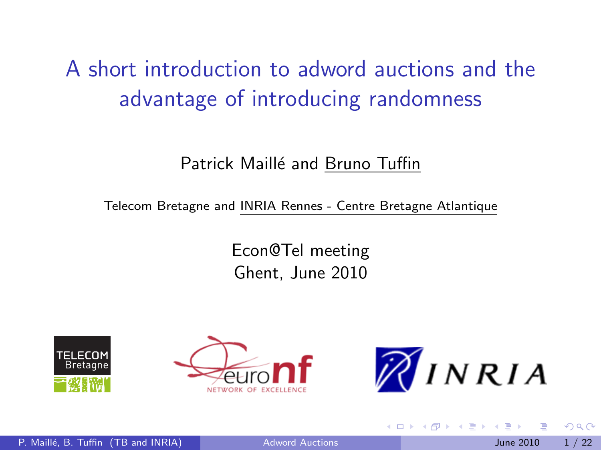# A short introduction to adword auctions and the advantage of introducing randomness

#### Patrick Maillé and Bruno Tuffin

Telecom Bretagne and INRIA Rennes - Centre Bretagne Atlantique

Econ@Tel meeting Ghent, June 2010





<span id="page-0-0"></span>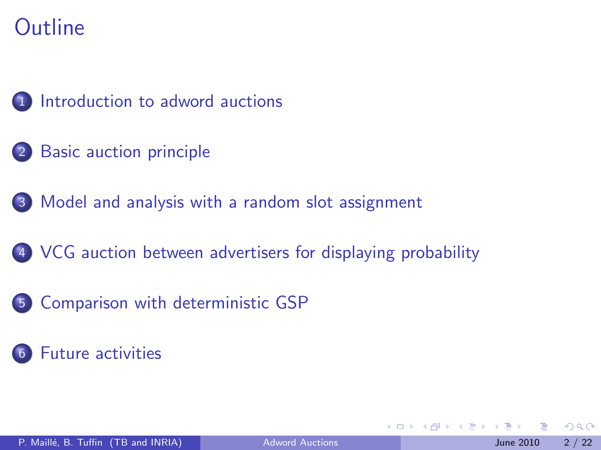

- 2 [Basic auction principle](#page-4-0)
- 3 [Model and analysis with a random slot assignment](#page-8-0)
- 4 [VCG auction between advertisers for displaying probability](#page-14-0)
- 5 [Comparison with deterministic GSP](#page-18-0)
	- [Future activities](#page-20-0)

4 0 8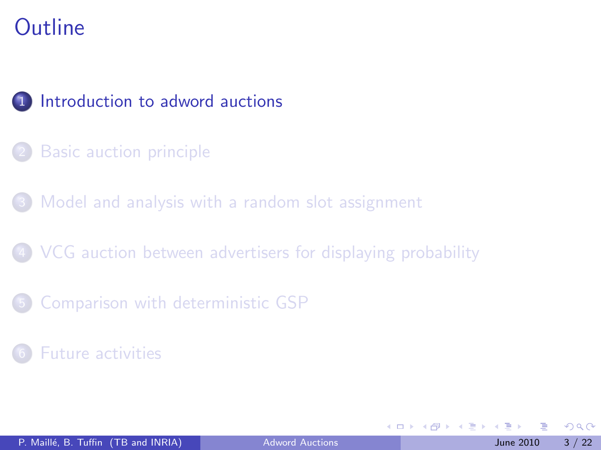

- **[Basic auction principle](#page-4-0)**
- [Model and analysis with a random slot assignment](#page-8-0)
- 4 [VCG auction between advertisers for displaying probability](#page-14-0)
- 5 [Comparison with deterministic GSP](#page-18-0)
- **[Future activities](#page-20-0)**

<span id="page-2-0"></span> $\Omega$ 

4. 医下列

4 0 8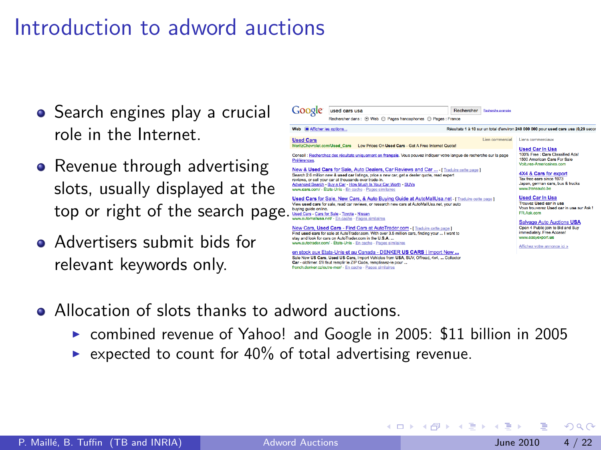## Introduction to adword auctions

- Search engines play a crucial role in the Internet.
- Revenue through advertising slots, usually displayed at the top or right of the search page.
- **•** Advertisers submit bids for relevant keywords only.



イロト イ母 トイヨ トイヨト

- Allocation of slots thanks to adword auctions.
	- $\triangleright$  combined revenue of Yahoo! and Google in 2005: \$11 billion in 2005

Car - cidtimar. S'il faut remplir le ZIP Code, remplissez-le pour ... french denker człoutre-mer/ - En cache - Pages similaires

expected to count for  $40\%$  of total advertising revenue.

 $200$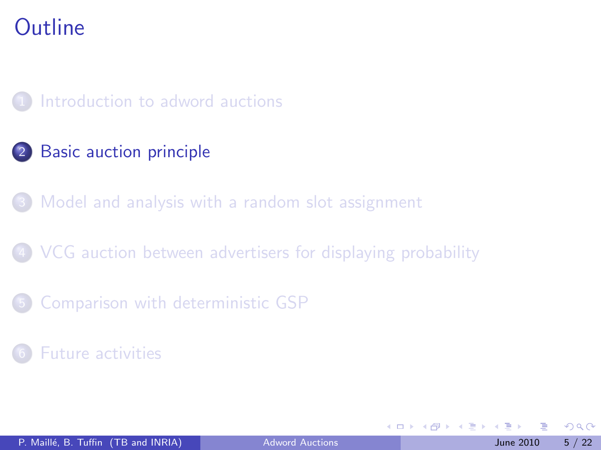[Introduction to adword auctions](#page-2-0)

#### 2 [Basic auction principle](#page-4-0)

[Model and analysis with a random slot assignment](#page-8-0)

4 [VCG auction between advertisers for displaying probability](#page-14-0)

5 [Comparison with deterministic GSP](#page-18-0)

**[Future activities](#page-20-0)** 

<span id="page-4-0"></span>4 0 8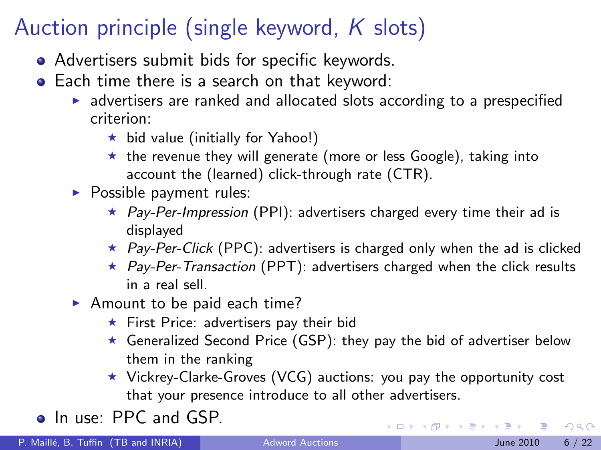## Auction principle (single keyword,  $K$  slots)

- Advertisers submit bids for specific keywords.
- Each time there is a search on that keyword:
	- $\blacktriangleright$  advertisers are ranked and allocated slots according to a prespecified criterion:
		- $\star$  bid value (initially for Yahoo!)
		- $\star$  the revenue they will generate (more or less Google), taking into account the (learned) click-through rate (CTR).
	- $\blacktriangleright$  Possible payment rules:
		- $\star$  Pay-Per-Impression (PPI): advertisers charged every time their ad is displayed
		- $\star$  Pay-Per-Click (PPC): advertisers is charged only when the ad is clicked
		- $\star$  Pay-Per-Transaction (PPT): advertisers charged when the click results in a real sell.
	- Amount to be paid each time?
		- $\star$  First Price: advertisers pay their bid
		- $\star$  Generalized Second Price (GSP): they pay the bid of advertiser below them in the ranking
		- $\star$  Vickrey-Clarke-Groves (VCG) auctions: you pay the opportunity cost that your presence introduce to all other advertisers.

• In use: PPC and GSP.

 $QQ$ 

K ロンス 御 > ス ヨ > ス ヨ > 一 ヨ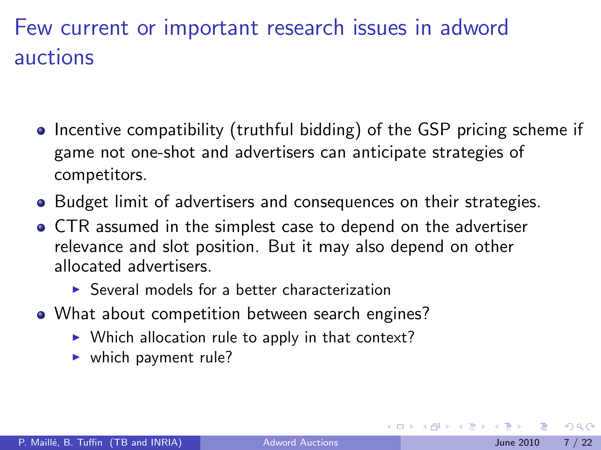## Few current or important research issues in adword auctions

- Incentive compatibility (truthful bidding) of the GSP pricing scheme if game not one-shot and advertisers can anticipate strategies of competitors.
- Budget limit of advertisers and consequences on their strategies.
- CTR assumed in the simplest case to depend on the advertiser relevance and slot position. But it may also depend on other allocated advertisers.
	- $\triangleright$  Several models for a better characterization
- What about competition between search engines?
	- $\triangleright$  Which allocation rule to apply in that context?
	- $\blacktriangleright$  which payment rule?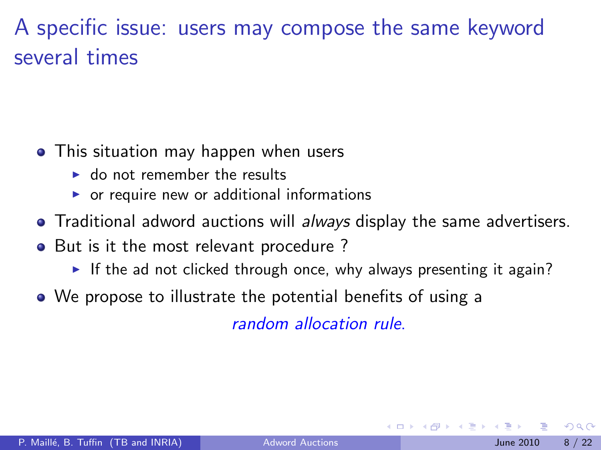## A specific issue: users may compose the same keyword several times

- This situation may happen when users
	- $\triangleright$  do not remember the results
	- $\triangleright$  or require new or additional informations
- Traditional adword auctions will always display the same advertisers.
- But is it the most relevant procedure?
	- If the ad not clicked through once, why always presenting it again?
- We propose to illustrate the potential benefits of using a

random allocation rule.

 $200$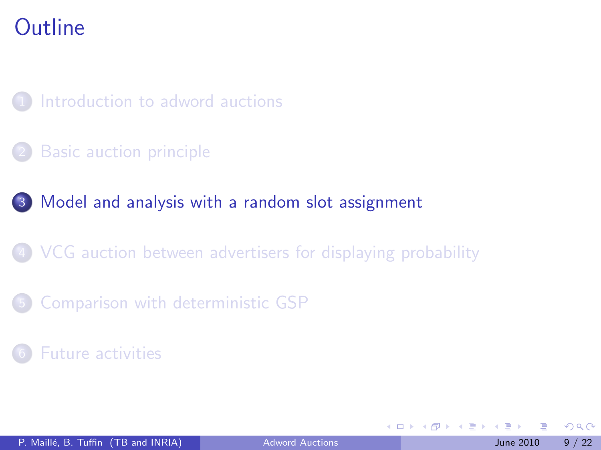[Introduction to adword auctions](#page-2-0)

**[Basic auction principle](#page-4-0)** 

#### 3 [Model and analysis with a random slot assignment](#page-8-0)

4 [VCG auction between advertisers for displaying probability](#page-14-0)

5 [Comparison with deterministic GSP](#page-18-0)

**[Future activities](#page-20-0)** 

<span id="page-8-0"></span>4.0.3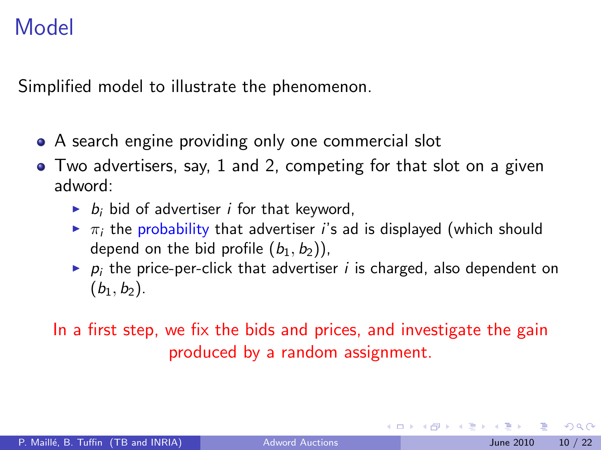## Model

Simplified model to illustrate the phenomenon.

- A search engine providing only one commercial slot
- Two advertisers, say, 1 and 2, competing for that slot on a given adword:
	- $\blacktriangleright$  b<sub>i</sub> bid of advertiser *i* for that keyword,
	- $\triangleright$   $\pi_i$  the probability that advertiser *i*'s ad is displayed (which should depend on the bid profile  $(b_1, b_2)$ ,
	- $\triangleright$   $p_i$  the price-per-click that advertiser *i* is charged, also dependent on  $(b_1, b_2)$ .

In a first step, we fix the bids and prices, and investigate the gain produced by a random assignment.

 $QQQ$ 

医毛囊 医牙骨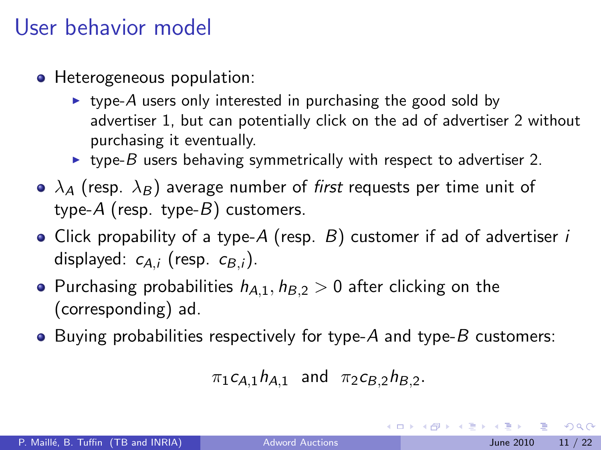### User behavior model

- Heterogeneous population:
	- $\triangleright$  type-A users only interested in purchasing the good sold by advertiser 1, but can potentially click on the ad of advertiser 2 without purchasing it eventually.
	- $\triangleright$  type-B users behaving symmetrically with respect to advertiser 2.
- $\bullet$   $\lambda$ <sub>A</sub> (resp.  $\lambda$ <sub>B</sub>) average number of *first* requests per time unit of type- $A$  (resp. type- $B$ ) customers.
- Click propability of a type- $A$  (resp.  $B$ ) customer if ad of advertiser i displayed:  $c_{A,i}$  (resp.  $c_{B,i}$ ).
- Purchasing probabilities  $h_{A,1}$ ,  $h_{B,2} > 0$  after clicking on the (corresponding) ad.
- Buying probabilities respectively for type- $A$  and type- $B$  customers:

```
\pi_1 c_{A,1} h_{A,1} and \pi_2 c_{B,2} h_{B,2}.
```
 $\Omega$ 

 $A \cup B \rightarrow A \oplus B \rightarrow A \oplus B \rightarrow A \oplus B \rightarrow B$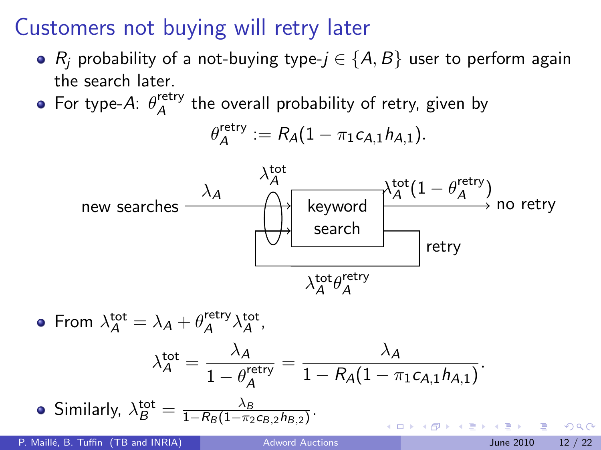## Customers not buying will retry later

- $R_i$  probability of a not-buying type- $j \in \{A, B\}$  user to perform again the search later.
- For type-A:  $\theta_A^{\text{retry}}$  $A^{\text{retry}}$  the overall probability of retry, given by

$$
\theta_A^{\mathsf{retry}} := \mathsf{R}_\mathsf{A} (1-\pi_1 c_{\mathsf{A},1} h_{\mathsf{A},1}).
$$



From  $\lambda_A^{\text{tot}} = \lambda_A + \theta_A^{\text{retry}}$ retry  $\lambda_{\mathcal{A}}^{\mathsf{tot}},$  $\lambda_A^{\text{tot}} = \frac{\lambda_A}{1 - \rho^{\text{tr}}}$  $=\frac{\lambda_A}{1-\rho(A)}$  $\frac{R_{A}}{1 - R_{A}(1 - \pi_{1}c_{A,1}h_{A,1})}$ .  $\overline{1-\theta^{\mathsf{retry}}_{\mathcal{A}}}$ A Similarly,  $\lambda_B^{\rm tot} = \frac{\lambda_B}{1-R_B(1-\pi_2)}$  $\frac{\lambda_B}{1-R_B(1-\pi_2 c_{B,2} h_{B,2})}$ .  $\Omega$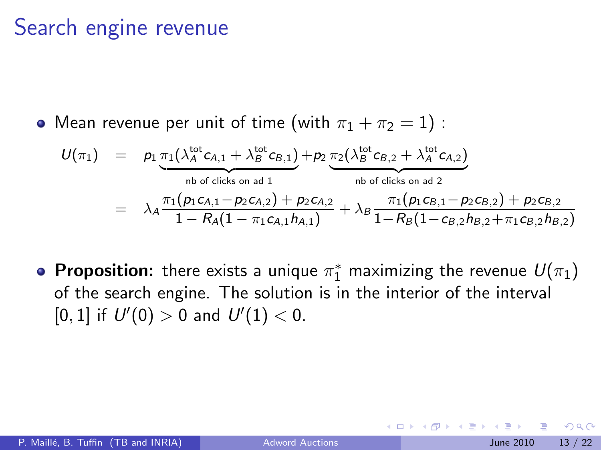### Search engine revenue

• Mean revenue per unit of time (with  $\pi_1 + \pi_2 = 1$ ) :

$$
U(\pi_1) = p_1 \underbrace{\pi_1(\lambda_A^{\text{tot}} c_{A,1} + \lambda_B^{\text{tot}} c_{B,1})}_{\text{nb of clicks on ad 1}} + p_2 \underbrace{\pi_2(\lambda_B^{\text{tot}} c_{B,2} + \lambda_A^{\text{tot}} c_{A,2})}_{\text{nb of clicks on ad 2}}
$$
  
= 
$$
\lambda_A \frac{\pi_1(p_1 c_{A,1} - p_2 c_{A,2}) + p_2 c_{A,2}}{1 - R_A(1 - \pi_1 c_{A,1} h_{A,1})} + \lambda_B \frac{\pi_1(p_1 c_{B,1} - p_2 c_{B,2}) + p_2 c_{B,2}}{1 - R_B(1 - c_{B,2} h_{B,2} + \pi_1 c_{B,2} h_{B,2})}
$$

**Proposition:** there exists a unique  $\pi_1^*$  maximizing the revenue  $U(\pi_1)$ of the search engine. The solution is in the interior of the interval [0, 1] if  $U'(0) > 0$  and  $U'(1) < 0$ .

つへへ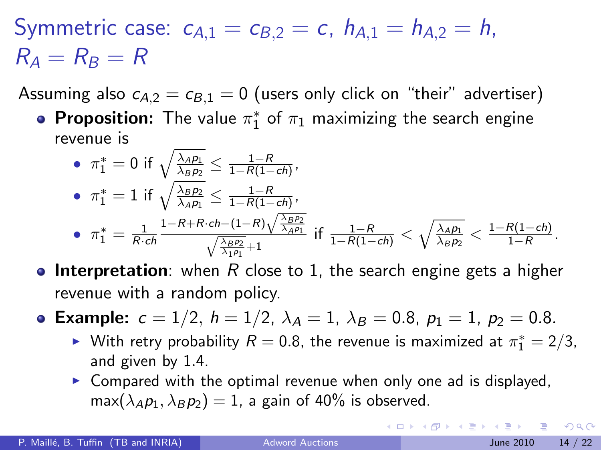Symmetric case:  $c_{A,1} = c_{B,2} = c$ ,  $h_{A,1} = h_{A,2} = h$ ,  $R_A = R_B = R$ 

Assuming also  $c_{A,2} = c_{B,1} = 0$  (users only click on "their" advertiser)

**Proposition:** The value  $\pi_1^*$  of  $\pi_1$  maximizing the search engine revenue is

• 
$$
\pi_1^* = 0
$$
 if  $\sqrt{\frac{\lambda_{AP_1}}{\lambda_{BP_2}}} \le \frac{1-R}{1-R(1-ch)},$   
\n•  $\pi_1^* = 1$  if  $\sqrt{\frac{\lambda_{BP_2}}{\lambda_{AP_1}}} \le \frac{1-R}{1-R(1-ch)},$   
\n•  $\pi_1^* = \frac{1}{R \cdot ch} \frac{1-R+R \cdot ch-(1-R)\sqrt{\frac{\lambda_{BP_2}}{\lambda_{AP_1}}}}{\sqrt{\frac{\lambda_{BP_2}}{\lambda_{AP_1}}} + 1}$  if  $\frac{1-R}{1-R(1-ch)} < \sqrt{\frac{\lambda_{AP_1}}{\lambda_{BP_2}}} < \frac{1-R(1-ch)}{1-R}.$ 

- **Interpretation**: when R close to 1, the search engine gets a higher revenue with a random policy.
- Example:  $c = 1/2$ ,  $h = 1/2$ ,  $\lambda_A = 1$ ,  $\lambda_B = 0.8$ ,  $p_1 = 1$ ,  $p_2 = 0.8$ .
	- ► With retry probability  $R = 0.8$ , the revenue is maximized at  $\pi_1^* = 2/3$ , and given by 1.4.
	- $\triangleright$  Compared with the optimal revenue when only one ad is displayed,  $\max(\lambda_A p_1, \lambda_B p_2) = 1$ , a gain of 40% is observed.

**KOD KARD KED KED B YOUR**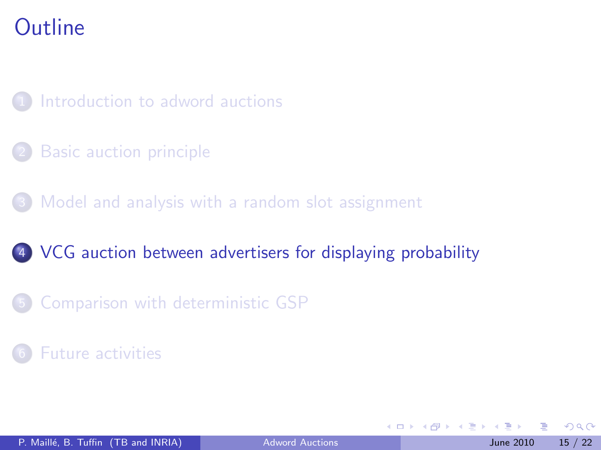[Introduction to adword auctions](#page-2-0)

**[Basic auction principle](#page-4-0)** 

[Model and analysis with a random slot assignment](#page-8-0)

#### 4 [VCG auction between advertisers for displaying probability](#page-14-0)

5 [Comparison with deterministic GSP](#page-18-0)

**[Future activities](#page-20-0)** 

<span id="page-14-0"></span>4 0 8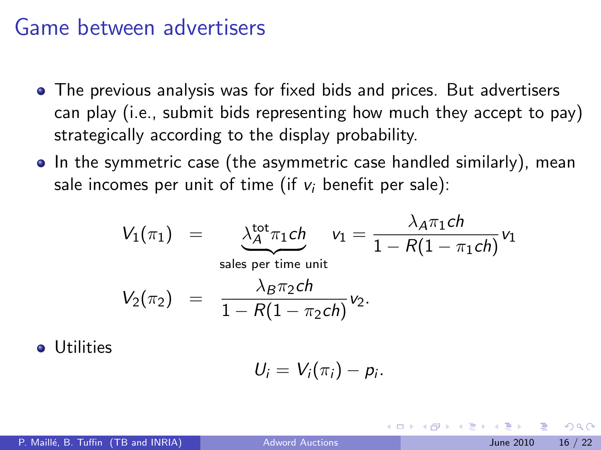#### Game between advertisers

- The previous analysis was for fixed bids and prices. But advertisers can play (i.e., submit bids representing how much they accept to pay) strategically according to the display probability.
- In the symmetric case (the asymmetric case handled similarly), mean sale incomes per unit of time (if  $v_i$  benefit per sale):

$$
V_1(\pi_1) = \underbrace{\lambda_A^{\text{tot}} \pi_1 ch}_{\text{sales per time unit}} v_1 = \frac{\lambda_A \pi_1 ch}{1 - R(1 - \pi_1 ch)} v_1
$$
  

$$
V_2(\pi_2) = \frac{\lambda_B \pi_2 ch}{1 - R(1 - \pi_2 ch)} v_2.
$$

Utilities

$$
U_i=V_i(\pi_i)-p_i.
$$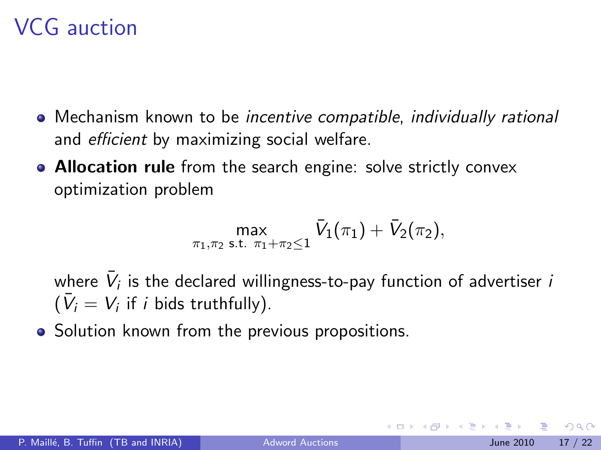## VCG auction

- Mechanism known to be incentive compatible, individually rational and efficient by maximizing social welfare.
- Allocation rule from the search engine: solve strictly convex optimization problem

$$
\max_{\pi_1,\pi_2 \text{ s.t. } \pi_1 + \pi_2 \leq 1} \bar{V}_1(\pi_1) + \bar{V}_2(\pi_2),
$$

where  $\bar{V}_i$  is the declared willingness-to-pay function of advertiser  $i$  $(\bar{V}_i = V_i$  if *i* bids truthfully).

• Solution known from the previous propositions.

つへへ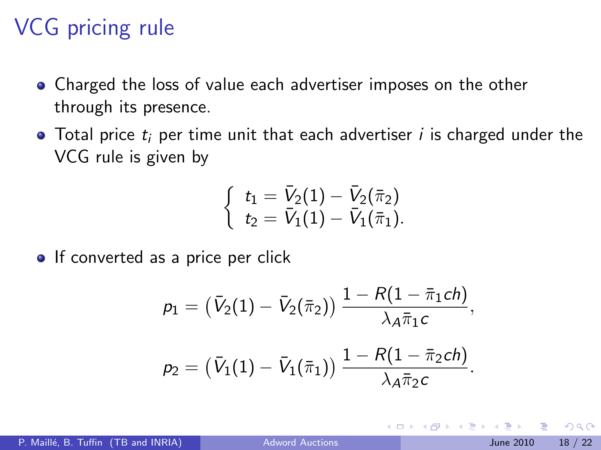## VCG pricing rule

- Charged the loss of value each advertiser imposes on the other through its presence.
- $\bullet$  Total price  $t_i$  per time unit that each advertiser *i* is charged under the VCG rule is given by

$$
\left\{\begin{array}{l}t_1=\bar V_2(1)-\bar V_2(\bar\pi_2)\\t_2=\bar V_1(1)-\bar V_1(\bar\pi_1).\end{array}\right.
$$

• If converted as a price per click

$$
p_1 = (\bar{V}_2(1) - \bar{V}_2(\bar{\pi}_2)) \frac{1 - R(1 - \bar{\pi}_1 ch)}{\lambda_A \bar{\pi}_1 c},
$$
  

$$
p_2 = (\bar{V}_1(1) - \bar{V}_1(\bar{\pi}_1)) \frac{1 - R(1 - \bar{\pi}_2 ch)}{\lambda_A \bar{\pi}_2 c}.
$$

 $\leftarrow$ 

<span id="page-17-0"></span> $200$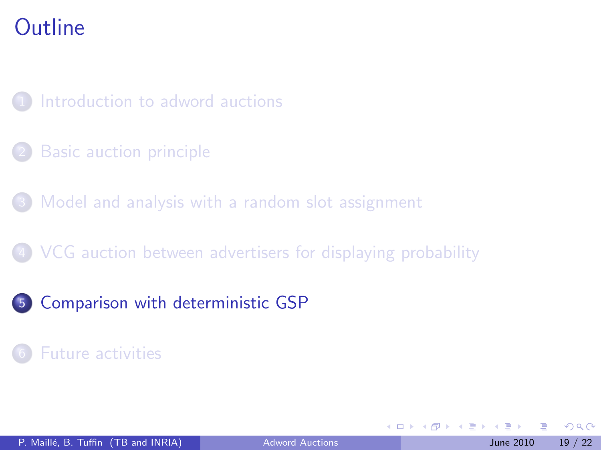[Introduction to adword auctions](#page-2-0)

**[Basic auction principle](#page-4-0)** 

[Model and analysis with a random slot assignment](#page-8-0)

4 [VCG auction between advertisers for displaying probability](#page-14-0)

5 [Comparison with deterministic GSP](#page-18-0)

**[Future activities](#page-20-0)** 

<span id="page-18-0"></span>4 0 8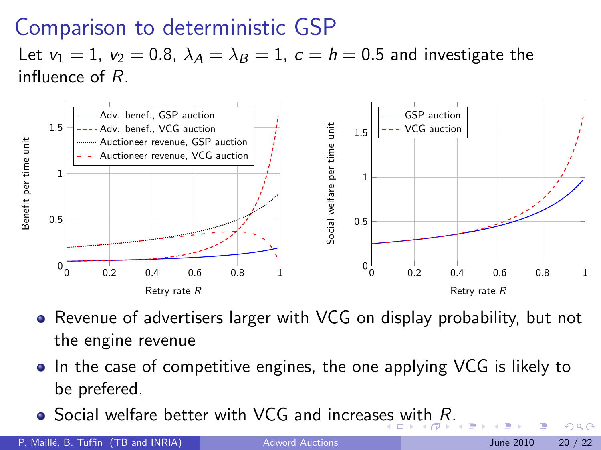## Comparison to deterministic GSP

Let  $v_1 = 1$ ,  $v_2 = 0.8$ ,  $\lambda_A = \lambda_B = 1$ ,  $c = h = 0.5$  and investigate the influence of R.



- Revenue of advertisers larger with VCG on display probability, but not the engine revenue
- In the case of competitive engines, the one applying VCG is likely to be prefered.
- <span id="page-19-0"></span> $\bullet$  $\bullet$  Social welfare better with VCG and increas[es](#page-18-0) [wi](#page-20-0)t[h](#page-19-0) [R](#page-20-0)[.](#page-17-0)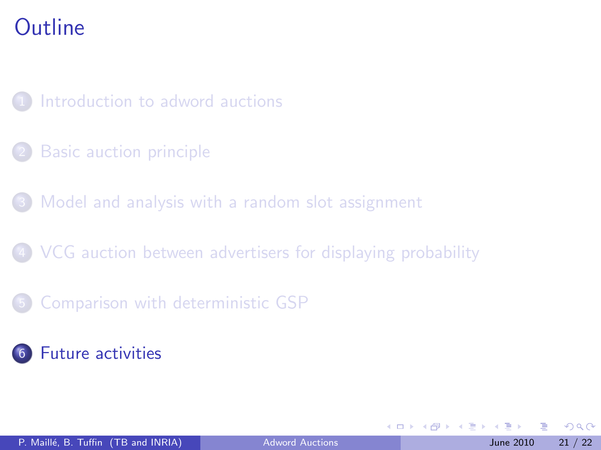[Introduction to adword auctions](#page-2-0)

**[Basic auction principle](#page-4-0)** 

[Model and analysis with a random slot assignment](#page-8-0)

4 [VCG auction between advertisers for displaying probability](#page-14-0)

5 [Comparison with deterministic GSP](#page-18-0)

6 [Future activities](#page-20-0)

<span id="page-20-0"></span>4 0 8